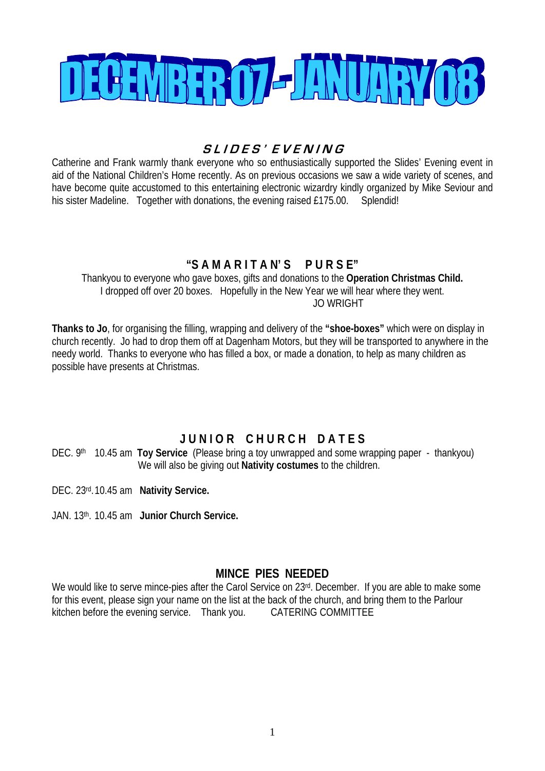

# **S L I D E S ' E V E N I N G**

Catherine and Frank warmly thank everyone who so enthusiastically supported the Slides' Evening event in aid of the National Children's Home recently. As on previous occasions we saw a wide variety of scenes, and have become quite accustomed to this entertaining electronic wizardry kindly organized by Mike Seviour and his sister Madeline. Together with donations, the evening raised £175.00. Splendid!

# **"S A M A R I T A N' S P U R S E"**

Thankyou to everyone who gave boxes, gifts and donations to the **Operation Christmas Child.**  I dropped off over 20 boxes. Hopefully in the New Year we will hear where they went. JO WRIGHT

**Thanks to Jo**, for organising the filling, wrapping and delivery of the **"shoe-boxes"** which were on display in church recently. Jo had to drop them off at Dagenham Motors, but they will be transported to anywhere in the needy world. Thanks to everyone who has filled a box, or made a donation, to help as many children as possible have presents at Christmas.

# **J U N I O R C H U R C H D A T E S**

DEC. 9<sup>th</sup> 10.45 am **Toy Service** (Please bring a toy unwrapped and some wrapping paper - thankyou) We will also be giving out **Nativity costumes** to the children.

DEC. 23rd. 10.45 am **Nativity Service.** 

JAN. 13th. 10.45 am **Junior Church Service.**

### **MINCE PIES NEEDED**

We would like to serve mince-pies after the Carol Service on 23rd. December. If you are able to make some for this event, please sign your name on the list at the back of the church, and bring them to the Parlour kitchen before the evening service. Thank you. CATERING COMMITTEE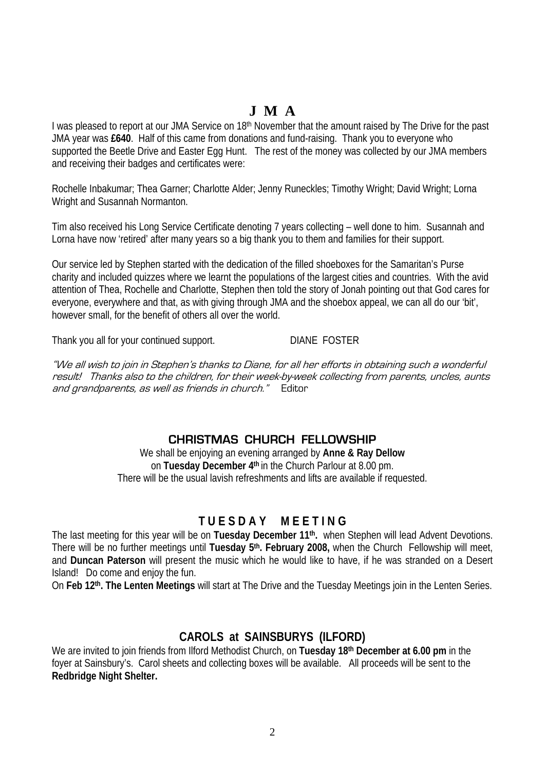# **J M A**

I was pleased to report at our JMA Service on 18<sup>th</sup> November that the amount raised by The Drive for the past JMA year was **£640**. Half of this came from donations and fund-raising. Thank you to everyone who supported the Beetle Drive and Easter Egg Hunt. The rest of the money was collected by our JMA members and receiving their badges and certificates were:

Rochelle Inbakumar; Thea Garner; Charlotte Alder; Jenny Runeckles; Timothy Wright; David Wright; Lorna Wright and Susannah Normanton.

Tim also received his Long Service Certificate denoting 7 years collecting – well done to him. Susannah and Lorna have now 'retired' after many years so a big thank you to them and families for their support.

Our service led by Stephen started with the dedication of the filled shoeboxes for the Samaritan's Purse charity and included quizzes where we learnt the populations of the largest cities and countries. With the avid attention of Thea, Rochelle and Charlotte, Stephen then told the story of Jonah pointing out that God cares for everyone, everywhere and that, as with giving through JMA and the shoebox appeal, we can all do our 'bit', however small, for the benefit of others all over the world.

Thank you all for your continued support. DIANE FOSTER

"We all wish to join in Stephen's thanks to Diane, for all her efforts in obtaining such a wonderful result! Thanks also to the children, for their week-by-week collecting from parents, uncles, aunts and grandparents, as well as friends in church." Editor

### **CHRISTMAS CHURCH FELLOWSHIP**

We shall be enjoying an evening arranged by **Anne & Ray Dellow** on **Tuesday December 4th** in the Church Parlour at 8.00 pm. There will be the usual lavish refreshments and lifts are available if requested.

## **T U E S D A Y M E E T I N G**

The last meeting for this year will be on **Tuesday December 11th.** when Stephen will lead Advent Devotions. There will be no further meetings until **Tuesday 5th. February 2008,** when the Church Fellowship will meet, and **Duncan Paterson** will present the music which he would like to have, if he was stranded on a Desert Island! Do come and enjoy the fun.

On **Feb 12th. The Lenten Meetings** will start at The Drive and the Tuesday Meetings join in the Lenten Series.

### **CAROLS at SAINSBURYS (ILFORD)**

We are invited to join friends from Ilford Methodist Church, on **Tuesday 18th December at 6.00 pm** in the foyer at Sainsbury's. Carol sheets and collecting boxes will be available. All proceeds will be sent to the **Redbridge Night Shelter.**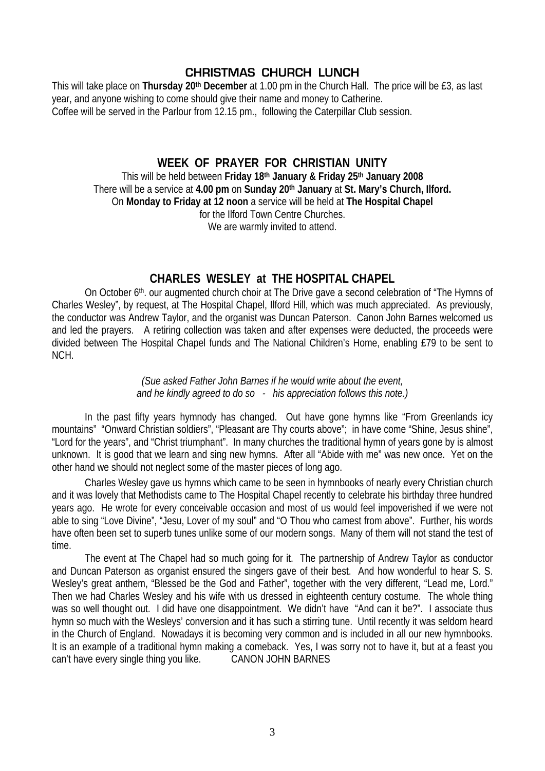## **CHRISTMAS CHURCH LUNCH**

This will take place on **Thursday 20th December** at 1.00 pm in the Church Hall. The price will be £3, as last year, and anyone wishing to come should give their name and money to Catherine. Coffee will be served in the Parlour from 12.15 pm., following the Caterpillar Club session.

### **WEEK OF PRAYER FOR CHRISTIAN UNITY**

This will be held between **Friday 18th January & Friday 25th January 2008**  There will be a service at **4.00 pm** on **Sunday 20th January** at **St. Mary's Church, Ilford.** On **Monday to Friday at 12 noon** a service will be held at **The Hospital Chapel**  for the Ilford Town Centre Churches. We are warmly invited to attend.

### **CHARLES WESLEY at THE HOSPITAL CHAPEL**

On October 6<sup>th</sup>, our augmented church choir at The Drive gave a second celebration of "The Hymns of Charles Wesley", by request, at The Hospital Chapel, Ilford Hill, which was much appreciated. As previously, the conductor was Andrew Taylor, and the organist was Duncan Paterson. Canon John Barnes welcomed us and led the prayers. A retiring collection was taken and after expenses were deducted, the proceeds were divided between The Hospital Chapel funds and The National Children's Home, enabling £79 to be sent to NCH.

#### *(Sue asked Father John Barnes if he would write about the event, and he kindly agreed to do so - his appreciation follows this note.)*

 In the past fifty years hymnody has changed. Out have gone hymns like "From Greenlands icy mountains" "Onward Christian soldiers", "Pleasant are Thy courts above"; in have come "Shine, Jesus shine", "Lord for the years", and "Christ triumphant". In many churches the traditional hymn of years gone by is almost unknown. It is good that we learn and sing new hymns. After all "Abide with me" was new once. Yet on the other hand we should not neglect some of the master pieces of long ago.

 Charles Wesley gave us hymns which came to be seen in hymnbooks of nearly every Christian church and it was lovely that Methodists came to The Hospital Chapel recently to celebrate his birthday three hundred years ago. He wrote for every conceivable occasion and most of us would feel impoverished if we were not able to sing "Love Divine", "Jesu, Lover of my soul" and "O Thou who camest from above". Further, his words have often been set to superb tunes unlike some of our modern songs. Many of them will not stand the test of time.

 The event at The Chapel had so much going for it. The partnership of Andrew Taylor as conductor and Duncan Paterson as organist ensured the singers gave of their best. And how wonderful to hear S. S. Wesley's great anthem, "Blessed be the God and Father", together with the very different, "Lead me, Lord." Then we had Charles Wesley and his wife with us dressed in eighteenth century costume. The whole thing was so well thought out. I did have one disappointment. We didn't have "And can it be?". I associate thus hymn so much with the Wesleys' conversion and it has such a stirring tune. Until recently it was seldom heard in the Church of England. Nowadays it is becoming very common and is included in all our new hymnbooks. It is an example of a traditional hymn making a comeback. Yes, I was sorry not to have it, but at a feast you can't have every single thing you like. CANON JOHN BARNES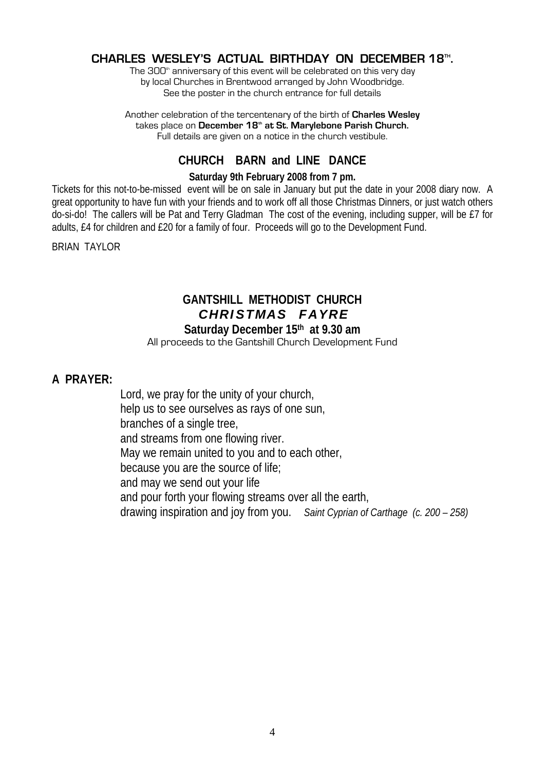### **CHARLES WESLEY'S ACTUAL BIRTHDAY ON DECEMBER 18TH .**

The 300<sup>th</sup> anniversary of this event will be celebrated on this very day by local Churches in Brentwood arranged by John Woodbridge. See the poster in the church entrance for full details

Another celebration of the tercentenary of the birth of **Charles Wesley** takes place on December 18<sup>th</sup> at St. Marylebone Parish Church. Full details are given on a notice in the church vestibule.

### **CHURCH BARN and LINE DANCE**

#### **Saturday 9th February 2008 from 7 pm.**

Tickets for this not-to-be-missed event will be on sale in January but put the date in your 2008 diary now. A great opportunity to have fun with your friends and to work off all those Christmas Dinners, or just watch others do-si-do! The callers will be Pat and Terry Gladman The cost of the evening, including supper, will be £7 for adults, £4 for children and £20 for a family of four. Proceeds will go to the Development Fund.

BRIAN TAYLOR

### **GANTSHILL METHODIST CHURCH**  *C H R I S T M A S F A Y R E*  **Saturday December 15th at 9.30 am**

#### All proceeds to the Gantshill Church Development Fund

### **A PRAYER:**

 Lord, we pray for the unity of your church, help us to see ourselves as rays of one sun, branches of a single tree, and streams from one flowing river. May we remain united to you and to each other, because you are the source of life; and may we send out your life and pour forth your flowing streams over all the earth, drawing inspiration and joy from you. *Saint Cyprian of Carthage (c. 200 – 258)*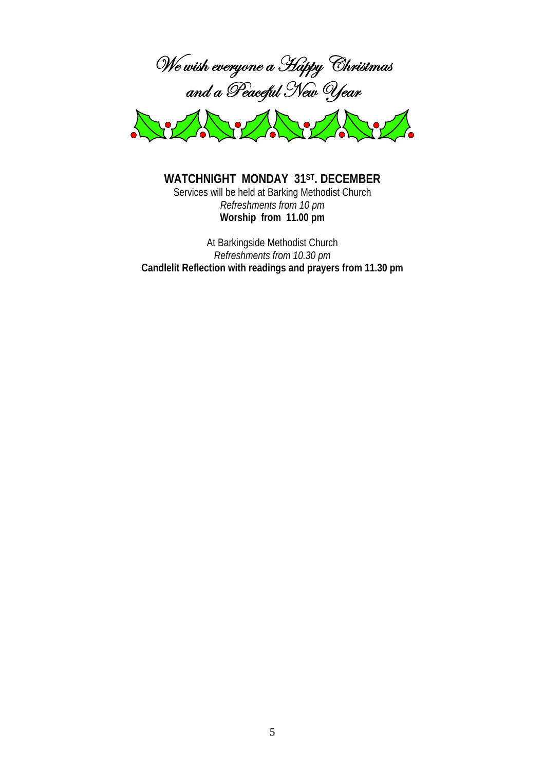



**WATCHNIGHT MONDAY 31ST. DECEMBER** Services will be held at Barking Methodist Church *Refreshments from 10 pm*  **Worship from 11.00 pm** 

At Barkingside Methodist Church *Refreshments from 10.30 pm*  **Candlelit Reflection with readings and prayers from 11.30 pm**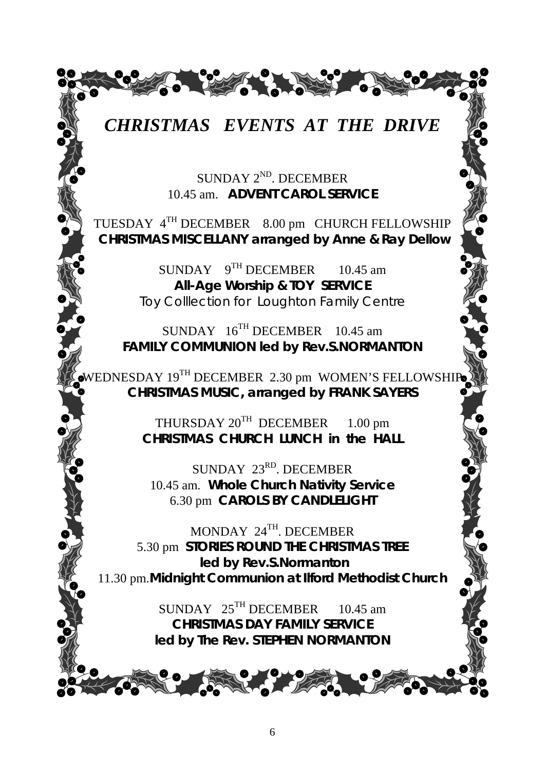

SUNDAY 2<sup>ND</sup>. DECEMBER 10.45 am. *ADVENT CAROL SERVICE* 

TUESDAY 4TH DECEMBER 8.00 pm CHURCH FELLOWSHIP  *CHRISTMAS MISCELLANY arranged by Anne & Ray Dellow* 

> SUNDAY 9<sup>TH</sup> DECEMBER 10.45 am *All-Age Worship & TOY SERVICE* Toy Colllection for Loughton Family Centre

SUNDAY  $16^{TH}$  DECEMBER 10.45 am *FAMILY COMMUNION led by Rev.S.NORMANTON* 

WEDNESDAY 19<sup>TH</sup> DECEMBER 2.30 pm WOMEN'S FELLOWSHIP *CHRISTMAS MUSIC, arranged by FRANK SAYERS* 

> THURSDAY  $20^{TH}$  DECEMBER 1.00 pm *CHRISTMAS CHURCH LUNCH in the HALL*

SUNDAY 23<sup>RD</sup>. DECEMBER 10.45 am*. Whole Church Nativity Service*  6.30 pm *CAROLS BY CANDLELIGHT* 

MONDAY 24TH. DECEMBER 5.30 pm *STORIES ROUND THE CHRISTMAS TREE led by Rev.S.Normanton*  11.30 pm.*Midnight Communion at Ilford Methodist Church* 

> $SUNDAY$  25<sup>TH</sup> DECEMBER 10.45 am *CHRISTMAS DAY FAMILY SERVICE led by The Rev. STEPHEN NORMANTON*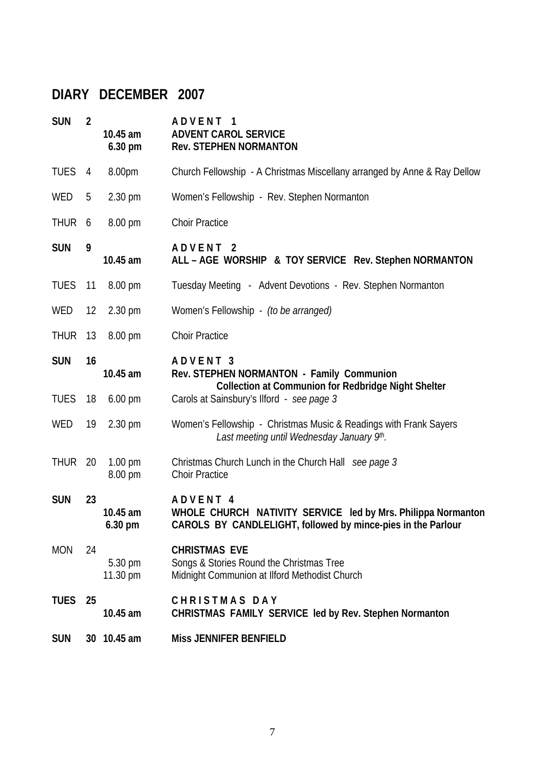# **DIARY DECEMBER 2007**

| <b>SUN</b>  | $\overline{2}$ | 10.45 am<br>$6.30$ pm         | ADVENT 1<br><b>ADVENT CAROL SERVICE</b><br><b>Rev. STEPHEN NORMANTON</b>                                                                            |
|-------------|----------------|-------------------------------|-----------------------------------------------------------------------------------------------------------------------------------------------------|
| <b>TUES</b> | 4              | 8.00pm                        | Church Fellowship - A Christmas Miscellany arranged by Anne & Ray Dellow                                                                            |
| WED         | 5              | $2.30 \text{ pm}$             | Women's Fellowship - Rev. Stephen Normanton                                                                                                         |
| THUR 6      |                | 8.00 pm                       | <b>Choir Practice</b>                                                                                                                               |
| <b>SUN</b>  | 9              | 10.45 am                      | ADVENT <sub>2</sub><br>ALL - AGE WORSHIP & TOY SERVICE Rev. Stephen NORMANTON                                                                       |
| <b>TUES</b> | 11             | $8.00 \text{ pm}$             | Tuesday Meeting - Advent Devotions - Rev. Stephen Normanton                                                                                         |
| WED         | 12             | $2.30 \text{ pm}$             | Women's Fellowship - (to be arranged)                                                                                                               |
| THUR 13     |                | $8.00 \text{ pm}$             | <b>Choir Practice</b>                                                                                                                               |
| <b>SUN</b>  | 16             | 10.45 am                      | ADVENT 3<br>Rev. STEPHEN NORMANTON - Family Communion<br><b>Collection at Communion for Redbridge Night Shelter</b>                                 |
| <b>TUES</b> | 18             | $6.00 \text{ pm}$             | Carols at Sainsbury's Ilford - see page 3                                                                                                           |
| WED         | 19             | $2.30 \text{ pm}$             | Women's Fellowship - Christmas Music & Readings with Frank Sayers<br>Last meeting until Wednesday January 9th.                                      |
| THUR 20     |                | $1.00 \text{ pm}$<br>8.00 pm  | Christmas Church Lunch in the Church Hall see page 3<br><b>Choir Practice</b>                                                                       |
| <b>SUN</b>  | 23             | 10.45 am<br>$6.30 \text{ pm}$ | ADVENT <sub>4</sub><br>WHOLE CHURCH NATIVITY SERVICE led by Mrs. Philippa Normanton<br>CAROLS BY CANDLELIGHT, followed by mince-pies in the Parlour |
| <b>MON</b>  | 24             | 5.30 pm<br>11.30 pm           | <b>CHRISTMAS EVE</b><br>Songs & Stories Round the Christmas Tree<br>Midnight Communion at Ilford Methodist Church                                   |
| <b>TUES</b> | 25             | 10.45 am                      | <b>CHRISTMAS DAY</b><br>CHRISTMAS FAMILY SERVICE led by Rev. Stephen Normanton                                                                      |
| <b>SUN</b>  |                | 30 10.45 am                   | <b>Miss JENNIFER BENFIELD</b>                                                                                                                       |